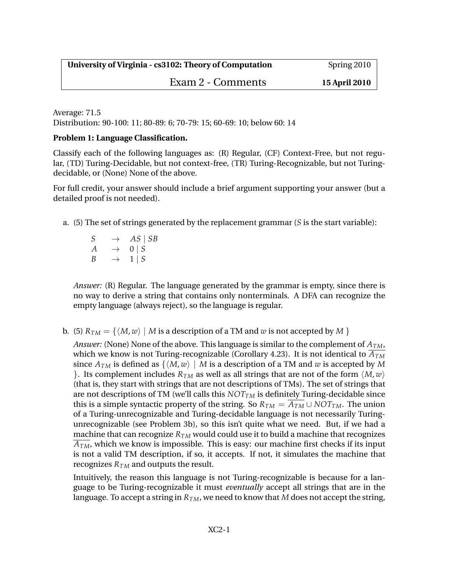## Exam 2 - Comments **15 April 2010**

Average: 71.5 Distribution: 90-100: 11; 80-89: 6; 70-79: 15; 60-69: 10; below 60: 14

## **Problem 1: Language Classification.**

Classify each of the following languages as: (R) Regular, (CF) Context-Free, but not regular, (TD) Turing-Decidable, but not context-free, (TR) Turing-Recognizable, but not Turingdecidable, or (None) None of the above.

For full credit, your answer should include a brief argument supporting your answer (but a detailed proof is not needed).

a. (5) The set of strings generated by the replacement grammar (*S* is the start variable):

 $S \rightarrow AS \mid SB$  $A \rightarrow 0 | S$  $B \rightarrow 1 | S$ 

*Answer:* (R) Regular. The language generated by the grammar is empty, since there is no way to derive a string that contains only nonterminals. A DFA can recognize the empty language (always reject), so the language is regular.

b. (5)  $R_{TM} = \{ \langle M, w \rangle \mid M \text{ is a description of a TM and } w \text{ is not accepted by } M \}$ 

*Answer:* (None) None of the above. This language is similar to the complement of *ATM*, which we know is not Turing-recognizable (Corollary 4.23). It is not identical to  $\overline{A_{TM}}$ since  $A_{TM}$  is defined as  $\{M, w\}$  | *M* is a description of a TM and *w* is accepted by *M* }. Its complement includes  $R_{TM}$  as well as all strings that are not of the form  $\langle M, w \rangle$ (that is, they start with strings that are not descriptions of TMs). The set of strings that are not descriptions of TM (we'll calls this  $NOT_{TM}$  is definitely Turing-decidable since this is a simple syntactic property of the string. So  $R_{TM} = \overline{A_{TM}} \cup NOT_{TM}$ . The union of a Turing-unrecognizable and Turing-decidable language is not necessarily Turingunrecognizable (see Problem 3b), so this isn't quite what we need. But, if we had a machine that can recognize  $R_{TM}$  would could use it to build a machine that recognizes  $A_{TM}$ , which we know is impossible. This is easy: our machine first checks if its input is not a valid TM description, if so, it accepts. If not, it simulates the machine that recognizes *RTM* and outputs the result.

Intuitively, the reason this language is not Turing-recognizable is because for a language to be Turing-recognizable it must *eventually* accept all strings that are in the language. To accept a string in  $R_{TM}$ , we need to know that *M* does not accept the string,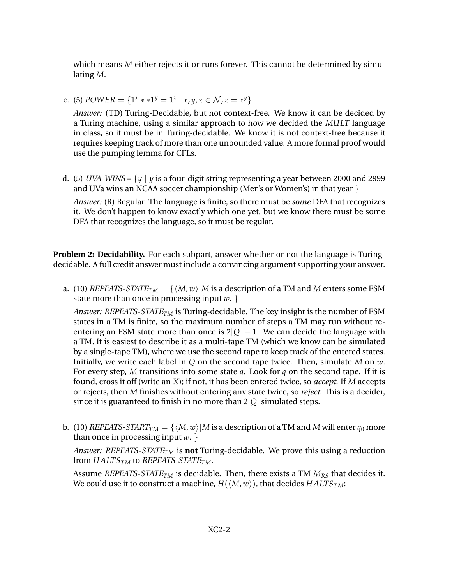which means *M* either rejects it or runs forever. This cannot be determined by simulating *M*.

c. (5) *POWER* = { $1^x * * 1^y = 1^z | x, y, z \in \mathcal{N}, z = x^y$ }

*Answer:* (TD) Turing-Decidable, but not context-free. We know it can be decided by a Turing machine, using a similar approach to how we decided the *MULT* language in class, so it must be in Turing-decidable. We know it is not context-free because it requires keeping track of more than one unbounded value. A more formal proof would use the pumping lemma for CFLs.

d. (5) *UVA-WINS* =  $\{y \mid y \text{ is a four-digit string representing a year between 2000 and 2999\}$ and UVa wins an NCAA soccer championship (Men's or Women's) in that year  $\}$ 

*Answer:* (R) Regular. The language is finite, so there must be *some* DFA that recognizes it. We don't happen to know exactly which one yet, but we know there must be some DFA that recognizes the language, so it must be regular.

**Problem 2: Decidability.** For each subpart, answer whether or not the language is Turingdecidable. A full credit answer must include a convincing argument supporting your answer.

a. (10) *REPEATS-STATE*<sub>*TM*</sub> = { $\langle M, w \rangle$ |*M* is a description of a TM and *M* enters some FSM state more than once in processing input *w*. }

*Answer: REPEATS-STATETM* is Turing-decidable. The key insight is the number of FSM states in a TM is finite, so the maximum number of steps a TM may run without reentering an FSM state more than once is  $2|Q| - 1$ . We can decide the language with a TM. It is easiest to describe it as a multi-tape TM (which we know can be simulated by a single-tape TM), where we use the second tape to keep track of the entered states. Initially, we write each label in *Q* on the second tape twice. Then, simulate *M* on *w*. For every step, *M* transitions into some state *q*. Look for *q* on the second tape. If it is found, cross it off (write an *X*); if not, it has been entered twice, so *accept*. If *M* accepts or rejects, then *M* finishes without entering any state twice, so *reject*. This is a decider, since it is guaranteed to finish in no more than 2|*Q*| simulated steps.

b. (10) *REPEATS-START*<sub>*TM*</sub> = { $\langle M, w \rangle$ |*M* is a description of a TM and *M* will enter  $q_0$  more than once in processing input *w*. }

*Answer: REPEATS-STATETM* is **not** Turing-decidable. We prove this using a reduction from *HALTSTM* to *REPEATS-STATETM*.

Assume *REPEATS-STATE* $_{TM}$  is decidable. Then, there exists a TM  $M_{RS}$  that decides it. We could use it to construct a machine,  $H(\langle M, w \rangle)$ , that decides  $HALTS<sub>TM</sub>$ :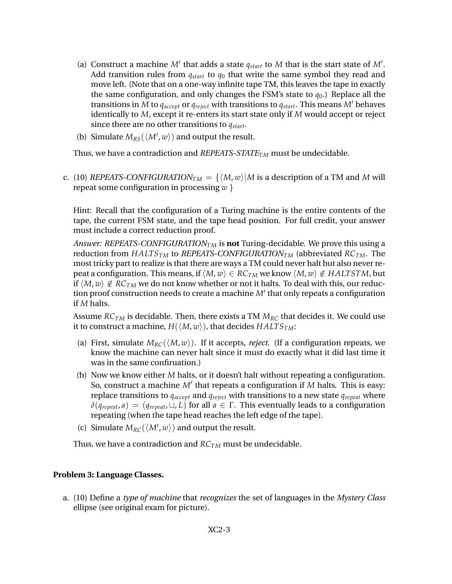- (a) Construct a machine  $M'$  that adds a state  $q_{start}$  to  $M$  that is the start state of  $M'$ . Add transition rules from *qstart* to *q*<sup>0</sup> that write the same symbol they read and move left. (Note that on a one-way infinite tape TM, this leaves the tape in exactly the same configuration, and only changes the FSM's state to  $q_0$ .) Replace all the transitions in *M* to  $q_{accept}$  or  $q_{reject}$  with transitions to  $q_{start}$ . This means *M'* behaves identically to *M*, except it re-enters its start state only if *M* would accept or reject since there are no other transitions to *qstart*.
- (b) Simulate  $M_{RS}(\langle M', w \rangle)$  and output the result.

Thus, we have a contradiction and *REPEATS-STATETM* must be undecidable.

c. (10) *REPEATS-CONFIGURATION*<sub>*TM*</sub> = { $\langle M, w \rangle$ |*M* is a description of a TM and *M* will repeat some configuration in processing *w* }

Hint: Recall that the configuration of a Turing machine is the entire contents of the tape, the current FSM state, and the tape head position. For full credit, your answer must include a correct reduction proof.

*Answer: REPEATS-CONFIGURATION<sub>TM</sub>* is **not** Turing-decidable. We prove this using a reduction from *HALTSTM* to *REPEATS-CONFIGURATIONTM* (abbreviated *RCTM*. The most tricky part to realize is that there are ways a TM could never halt but also never repeat a configuration. This means, if  $\langle M, w \rangle \in RC_{TM}$  we know  $\langle M, w \rangle \notin HALTSTM$ , but if  $\langle M, w \rangle \notin RC_{TM}$  we do not know whether or not it halts. To deal with this, our reduction proof construction needs to create a machine M' that only repeats a configuration if *M* halts.

Assume *RCTM* is decidable. Then, there exists a TM *MRC* that decides it. We could use it to construct a machine,  $H(\langle M, w \rangle)$ , that decides  $HALTS_{TM}$ :

- (a) First, simulate  $M_{RC}(\langle M, w \rangle)$ . If it accepts, *reject*. (If a configuration repeats, we know the machine can never halt since it must do exactly what it did last time it was in the same confiruation.)
- (b) Now we know either *M* halts, or it doesn't halt without repeating a configuration. So, construct a machine M' that repeats a configuration if *M* halts. This is easy: replace transitions to *qaccept* and *qreject* with transitions to a new state *qrepeat* where  $\delta(q_{repeat}, a) = (q_{repeat}, \sqcup, L)$  for all  $a \in \Gamma$ . This eventually leads to a configuration repeating (when the tape head reaches the left edge of the tape).
- (c) Simulate  $M_{RC}(\langle M', w \rangle)$  and output the result.

Thus, we have a contradiction and *RCTM* must be undecidable.

## **Problem 3: Language Classes.**

a. (10) Define a *type of machine* that *recognizes* the set of languages in the *Mystery Class* ellipse (see original exam for picture).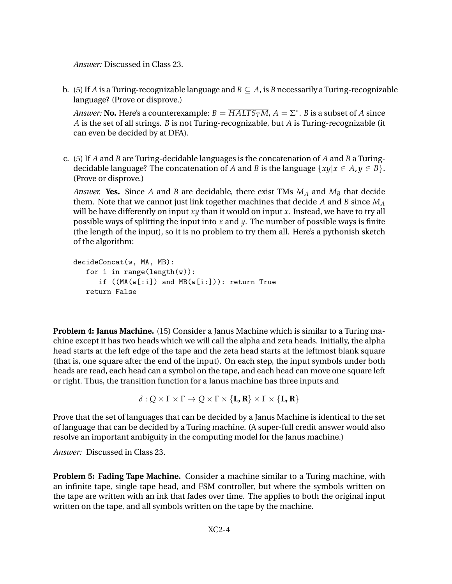*Answer:* Discussed in Class 23.

b. (5) If *A* is a Turing-recognizable language and  $B \subseteq A$ , is *B* necessarily a Turing-recognizable language? (Prove or disprove.)

*Answer:* **No.** Here's a counterexample:  $B = \overline{HALTS_TM}$ ,  $A = \Sigma^*$ . *B* is a subset of *A* since *A* is the set of all strings. *B* is not Turing-recognizable, but *A* is Turing-recognizable (it can even be decided by at DFA).

c. (5) If *A* and *B* are Turing-decidable languages is the concatenation of *A* and *B* a Turingdecidable language? The concatenation of *A* and *B* is the language  $\{xy | x \in A, y \in B\}$ . (Prove or disprove.)

*Answer.* **Yes.** Since *A* and *B* are decidable, there exist TMs  $M_A$  and  $M_B$  that decide them. Note that we cannot just link together machines that decide *A* and *B* since *M<sup>A</sup>* will be have differently on input *xy* than it would on input *x*. Instead, we have to try all possible ways of splitting the input into *x* and *y*. The number of possible ways is finite (the length of the input), so it is no problem to try them all. Here's a pythonish sketch of the algorithm:

```
decideConcat(w, MA, MB):
for i in range(length(w)):
   if ((MA(w[:i]) and MB(w[i:])): return True
return False
```
**Problem 4: Janus Machine.** (15) Consider a Janus Machine which is similar to a Turing machine except it has two heads which we will call the alpha and zeta heads. Initially, the alpha head starts at the left edge of the tape and the zeta head starts at the leftmost blank square (that is, one square after the end of the input). On each step, the input symbols under both heads are read, each head can a symbol on the tape, and each head can move one square left or right. Thus, the transition function for a Janus machine has three inputs and

$$
\delta:Q\times\Gamma\times\Gamma\to Q\times\Gamma\times\{\mathbf{L},\mathbf{R}\}\times\Gamma\times\{\mathbf{L},\mathbf{R}\}
$$

Prove that the set of languages that can be decided by a Janus Machine is identical to the set of language that can be decided by a Turing machine. (A super-full credit answer would also resolve an important ambiguity in the computing model for the Janus machine.)

*Answer:* Discussed in Class 23.

**Problem 5: Fading Tape Machine.** Consider a machine similar to a Turing machine, with an infinite tape, single tape head, and FSM controller, but where the symbols written on the tape are written with an ink that fades over time. The applies to both the original input written on the tape, and all symbols written on the tape by the machine.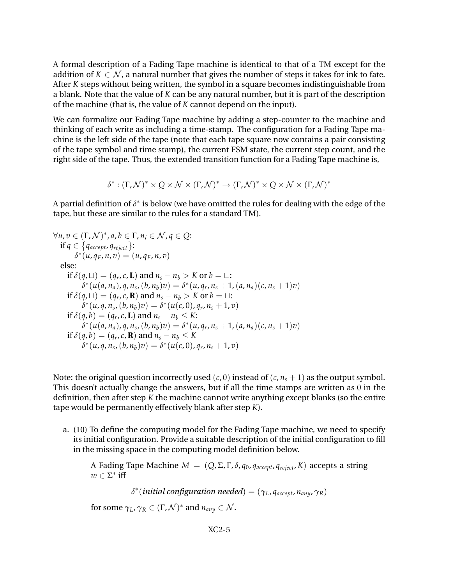A formal description of a Fading Tape machine is identical to that of a TM except for the addition of  $K \in \mathcal{N}$ , a natural number that gives the number of steps it takes for ink to fate. After *K* steps without being written, the symbol in a square becomes indistinguishable from a blank. Note that the value of *K* can be any natural number, but it is part of the description of the machine (that is, the value of *K* cannot depend on the input).

We can formalize our Fading Tape machine by adding a step-counter to the machine and thinking of each write as including a time-stamp. The configuration for a Fading Tape machine is the left side of the tape (note that each tape square now contains a pair consisting of the tape symbol and time stamp), the current FSM state, the current step count, and the right side of the tape. Thus, the extended transition function for a Fading Tape machine is,

$$
\delta^*: (\Gamma, \mathcal{N})^* \times Q \times \mathcal{N} \times (\Gamma, \mathcal{N})^* \to (\Gamma, \mathcal{N})^* \times Q \times \mathcal{N} \times (\Gamma, \mathcal{N})^*
$$

A partial definition of  $\delta^*$  is below (we have omitted the rules for dealing with the edge of the tape, but these are similar to the rules for a standard TM).

$$
\forall u, v \in (\Gamma, \mathcal{N})^*, a, b \in \Gamma, n_i \in \mathcal{N}, q \in \mathcal{Q}: \n\text{if } q \in \{q_{accept}, q_{reject}\}: \n\delta^*(u, q_F, n, v) = (u, q_F, n, v) \n\text{else:} \n\text{if } \delta(q, \sqcup) = (q_r, c, \mathbf{L}) \text{ and } n_s - n_b > K \text{ or } b = \sqcup: \n\delta^*(u(a, n_a), q, n_s, (b, n_b)v) = \delta^*(u, q_r, n_s + 1, (a, n_a)(c, n_s + 1)v) \n\text{if } \delta(q, \sqcup) = (q_r, c, \mathbf{R}) \text{ and } n_s - n_b > K \text{ or } b = \sqcup: \n\delta^*(u, q, n_s, (b, n_b)v) = \delta^*(u(c, 0), q_r, n_s + 1, v) \n\text{if } \delta(q, b) = (q_r, c, \mathbf{L}) \text{ and } n_s - n_b \leq K: \n\delta^*(u(a, n_a), q, n_s, (b, n_b)v) = \delta^*(u, q_r, n_s + 1, (a, n_a)(c, n_s + 1)v) \n\text{if } \delta(q, b) = (q_r, c, \mathbf{R}) \text{ and } n_s - n_b \leq K \n\delta^*(u, q, n_s, (b, n_b)v) = \delta^*(u(c, 0), q_r, n_s + 1, v)
$$

Note: the original question incorrectly used  $(c, 0)$  instead of  $(c, n<sub>s</sub> + 1)$  as the output symbol. This doesn't actually change the answers, but if all the time stamps are written as 0 in the definition, then after step *K* the machine cannot write anything except blanks (so the entire tape would be permanently effectively blank after step *K*).

a. (10) To define the computing model for the Fading Tape machine, we need to specify its initial configuration. Provide a suitable description of the initial configuration to fill in the missing space in the computing model definition below.

A Fading Tape Machine  $M = (Q, Σ, Γ, δ, q_0, q_{accept}, q_{reject}, K)$  accepts a string  $w \in \Sigma^*$  iff

*δ* ∗ (*initial configuration needed*) = (*γL*, *qaccept*, *nany*, *γR*)

for some  $\gamma_L$ ,  $\gamma_R \in (\Gamma, \mathcal{N})^*$  and  $n_{any} \in \mathcal{N}$ .